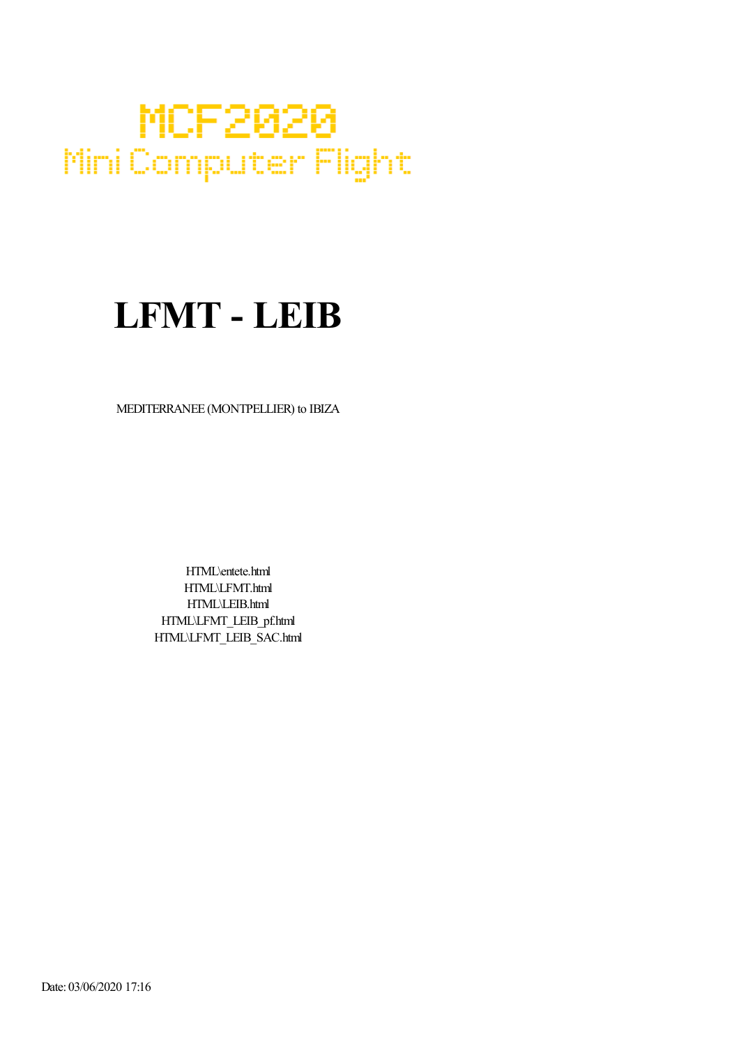## MCF2020 Mini Computer Flight

## LFMT - LEIB

MEDITERRANEE (MONTPELLIER) to IBIZA

HTML\entete.html HTML\LFMT.html HTML\LEIB.html HTML\LFMT\_LEIB\_pf.html HTML\LFMT\_LEIB\_SAC.html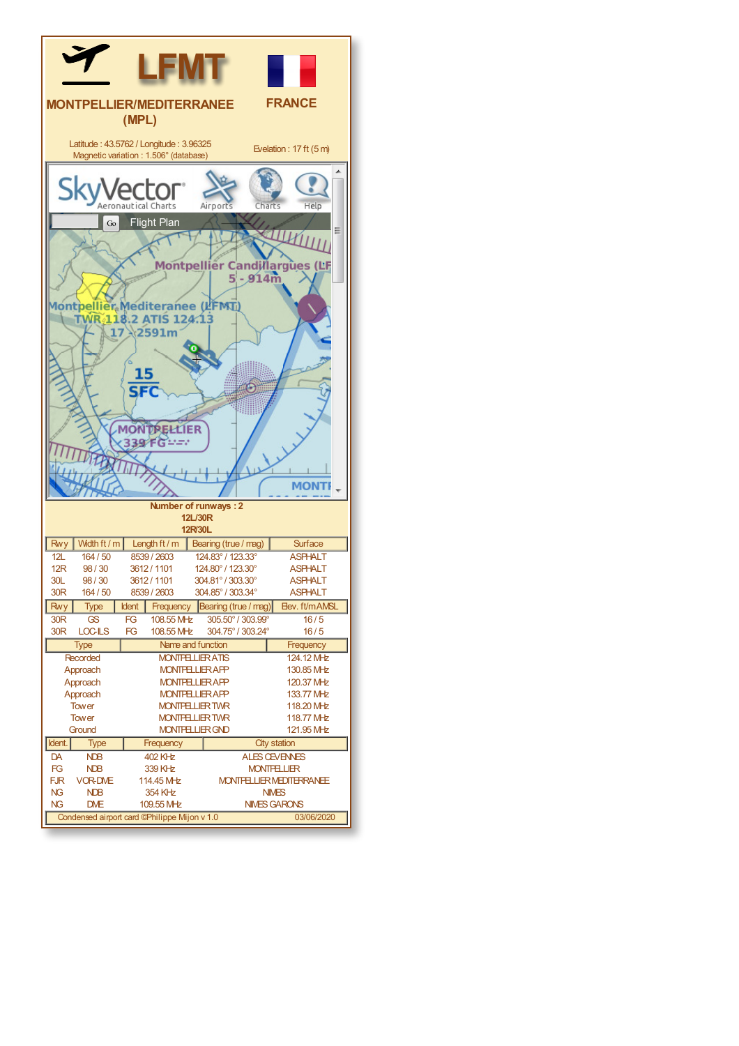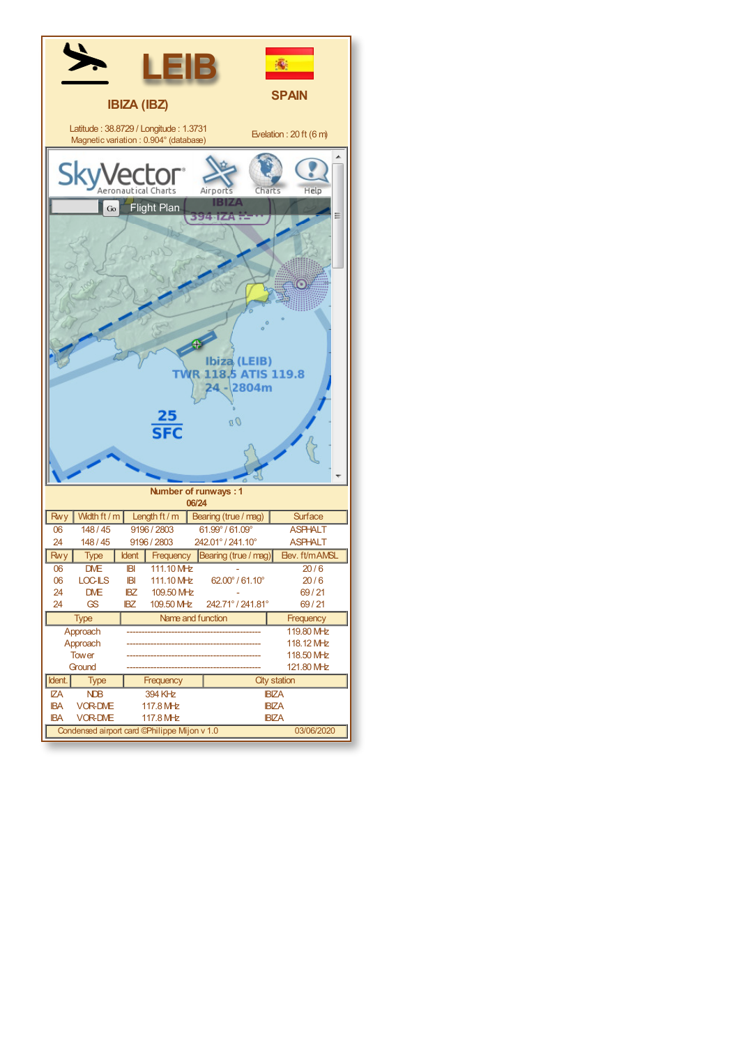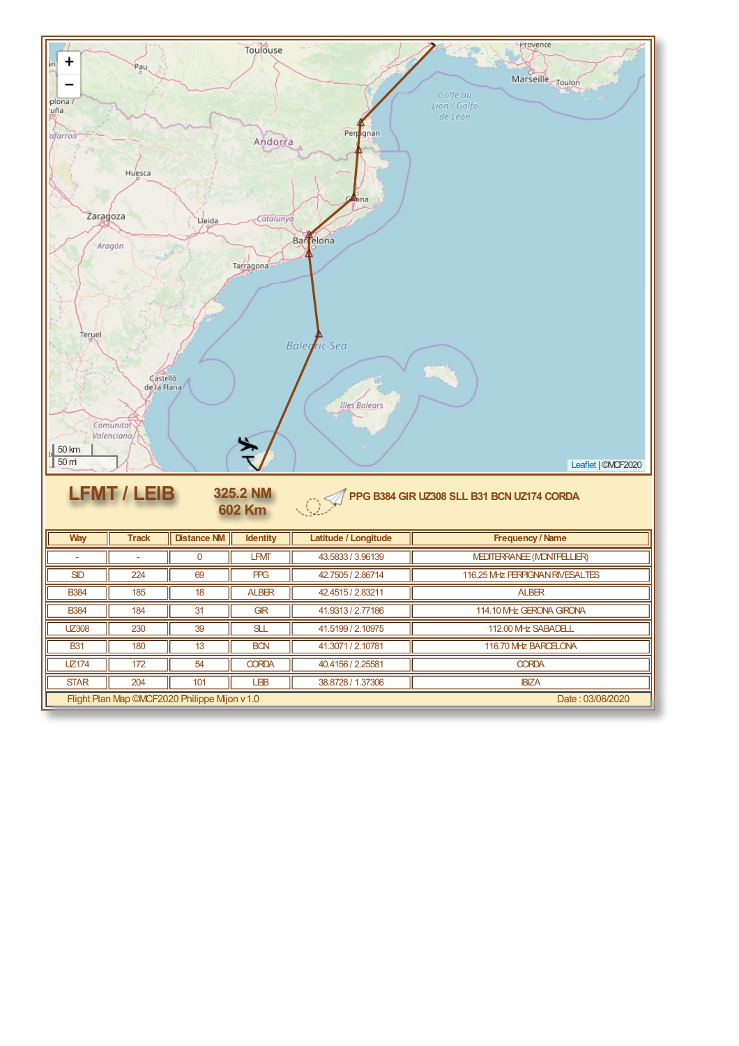